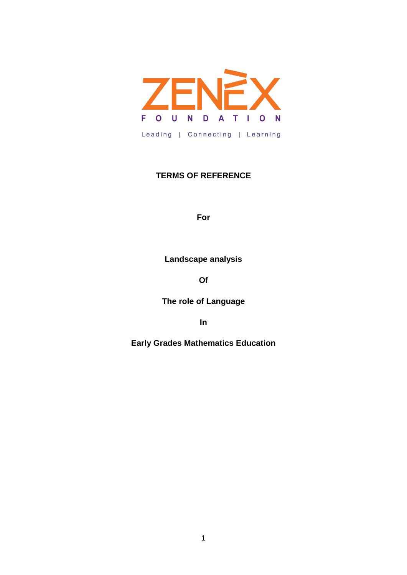

## **TERMS OF REFERENCE**

**For**

**Landscape analysis**

**Of**

**The role of Language**

**In**

**Early Grades Mathematics Education**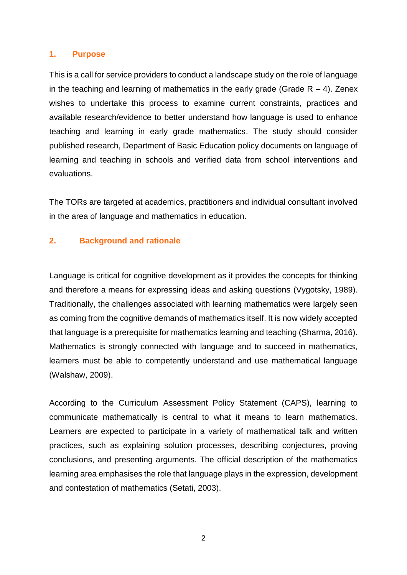#### **1. Purpose**

This is a call for service providers to conduct a landscape study on the role of language in the teaching and learning of mathematics in the early grade (Grade  $R - 4$ ). Zenex wishes to undertake this process to examine current constraints, practices and available research/evidence to better understand how language is used to enhance teaching and learning in early grade mathematics. The study should consider published research, Department of Basic Education policy documents on language of learning and teaching in schools and verified data from school interventions and evaluations.

The TORs are targeted at academics, practitioners and individual consultant involved in the area of language and mathematics in education.

#### **2. Background and rationale**

Language is critical for cognitive development as it provides the concepts for thinking and therefore a means for expressing ideas and asking questions (Vygotsky, 1989). Traditionally, the challenges associated with learning mathematics were largely seen as coming from the cognitive demands of mathematics itself. It is now widely accepted that language is a prerequisite for mathematics learning and teaching (Sharma, 2016). Mathematics is strongly connected with language and to succeed in mathematics, learners must be able to competently understand and use mathematical language (Walshaw, 2009).

According to the Curriculum Assessment Policy Statement (CAPS), learning to communicate mathematically is central to what it means to learn mathematics. Learners are expected to participate in a variety of mathematical talk and written practices, such as explaining solution processes, describing conjectures, proving conclusions, and presenting arguments. The official description of the mathematics learning area emphasises the role that language plays in the expression, development and contestation of mathematics (Setati, 2003).

2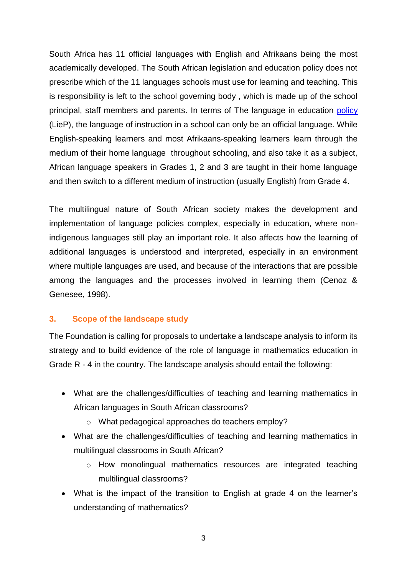South Africa has 11 official languages with English and Afrikaans being the most academically developed. The South African legislation and education policy does not prescribe which of the 11 languages schools must use for learning and teaching. This is responsibility is left to the school governing body , which is made up of the school principal, staff members and parents. In terms of The language in education [policy](https://www.education.gov.za/Portals/0/Documents/Policies/GET/LanguageEducationPolicy1997.pdf?ver=2007-08-22-083918-000) (LieP), the language of instruction in a school can only be an official language. While English-speaking learners and most Afrikaans-speaking learners learn through the medium of their home language throughout schooling, and also take it as a subject, African language speakers in Grades 1, 2 and 3 are taught in their home language and then switch to a different medium of instruction (usually English) from Grade 4.

The multilingual nature of South African society makes the development and implementation of language policies complex, especially in education, where nonindigenous languages still play an important role. It also affects how the learning of additional languages is understood and interpreted, especially in an environment where multiple languages are used, and because of the interactions that are possible among the languages and the processes involved in learning them (Cenoz & Genesee, 1998).

#### **3. Scope of the landscape study**

The Foundation is calling for proposals to undertake a landscape analysis to inform its strategy and to build evidence of the role of language in mathematics education in Grade R - 4 in the country. The landscape analysis should entail the following:

- What are the challenges/difficulties of teaching and learning mathematics in African languages in South African classrooms?
	- o What pedagogical approaches do teachers employ?
- What are the challenges/difficulties of teaching and learning mathematics in multilingual classrooms in South African?
	- o How monolingual mathematics resources are integrated teaching multilingual classrooms?
- What is the impact of the transition to English at grade 4 on the learner's understanding of mathematics?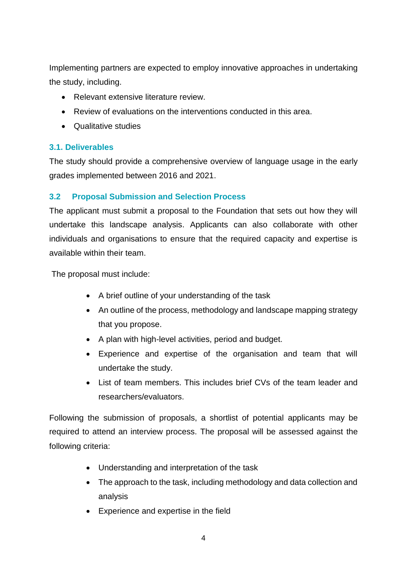Implementing partners are expected to employ innovative approaches in undertaking the study, including.

- Relevant extensive literature review.
- Review of evaluations on the interventions conducted in this area.
- Qualitative studies

## **3.1. Deliverables**

The study should provide a comprehensive overview of language usage in the early grades implemented between 2016 and 2021.

## **3.2 Proposal Submission and Selection Process**

The applicant must submit a proposal to the Foundation that sets out how they will undertake this landscape analysis. Applicants can also collaborate with other individuals and organisations to ensure that the required capacity and expertise is available within their team.

The proposal must include:

- A brief outline of your understanding of the task
- An outline of the process, methodology and landscape mapping strategy that you propose.
- A plan with high-level activities, period and budget.
- Experience and expertise of the organisation and team that will undertake the study.
- List of team members. This includes brief CVs of the team leader and researchers/evaluators.

Following the submission of proposals, a shortlist of potential applicants may be required to attend an interview process. The proposal will be assessed against the following criteria:

- Understanding and interpretation of the task
- The approach to the task, including methodology and data collection and analysis
- Experience and expertise in the field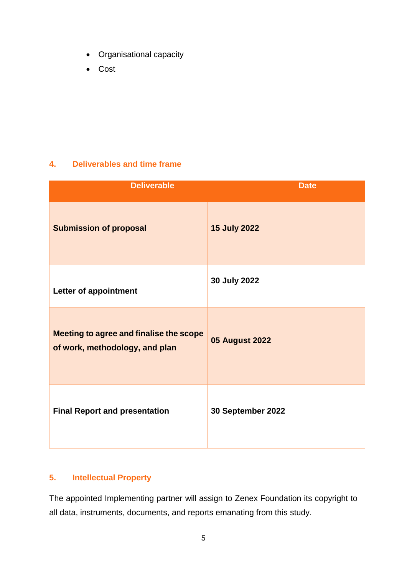- Organisational capacity
- Cost

## **4. Deliverables and time frame**

| <b>Deliverable</b>                                                        | <b>Date</b>           |
|---------------------------------------------------------------------------|-----------------------|
| <b>Submission of proposal</b>                                             | <b>15 July 2022</b>   |
| Letter of appointment                                                     | 30 July 2022          |
| Meeting to agree and finalise the scope<br>of work, methodology, and plan | <b>05 August 2022</b> |
| <b>Final Report and presentation</b>                                      | 30 September 2022     |

#### **5. Intellectual Property**

The appointed Implementing partner will assign to Zenex Foundation its copyright to all data, instruments, documents, and reports emanating from this study.